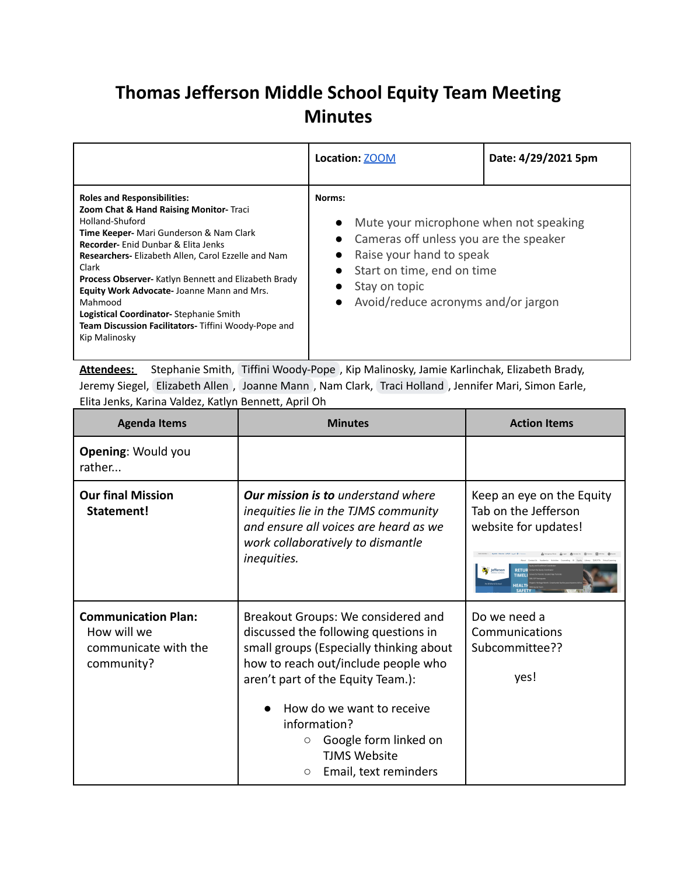## **Thomas Jefferson Middle School Equity Team Meeting Minutes**

|                                                                                                                                                                                                                                                                                                                                                                                                                                                                                              | Location: <b>ZOOM</b>                                                                                                                                                                                                                                                           | Date: 4/29/2021 5pm |
|----------------------------------------------------------------------------------------------------------------------------------------------------------------------------------------------------------------------------------------------------------------------------------------------------------------------------------------------------------------------------------------------------------------------------------------------------------------------------------------------|---------------------------------------------------------------------------------------------------------------------------------------------------------------------------------------------------------------------------------------------------------------------------------|---------------------|
| <b>Roles and Responsibilities:</b><br>Zoom Chat & Hand Raising Monitor- Traci<br>Holland-Shuford<br>Time Keeper- Mari Gunderson & Nam Clark<br><b>Recorder-</b> Enid Dunbar & Elita Jenks<br>Researchers- Elizabeth Allen, Carol Ezzelle and Nam<br>Clark<br>Process Observer- Katlyn Bennett and Elizabeth Brady<br>Equity Work Advocate-Joanne Mann and Mrs.<br>Mahmood<br>Logistical Coordinator-Stephanie Smith<br>Team Discussion Facilitators- Tiffini Woody-Pope and<br>Kip Malinosky | Norms:<br>Mute your microphone when not speaking<br>$\bullet$<br>• Cameras off unless you are the speaker<br>Raise your hand to speak<br>$\bullet$<br>Start on time, end on time<br>$\bullet$<br>Stay on topic<br>$\bullet$<br>Avoid/reduce acronyms and/or jargon<br>$\bullet$ |                     |

**Attendees:** Stephanie Smith, Tiffini [Woody-Pope](mailto:tiffini.woodypope@apsva.us) , Kip Malinosky, Jamie Karlinchak, Elizabeth Brady, Jeremy Siegel, [Elizabeth](mailto:elizabeth.allen@apsva.us) Allen , [Joanne](mailto:joanne.mann@apsva.us) Mann , Nam Clark, Traci [Holland](mailto:traci.holland@apsva.us) , Jennifer Mari, Simon Earle, Elita Jenks, Karina Valdez, Katlyn Bennett, April Oh

| <b>Agenda Items</b>                                                             | <b>Minutes</b>                                                                                                                                                                                                                                                                                                                                | <b>Action Items</b>                                                                                   |
|---------------------------------------------------------------------------------|-----------------------------------------------------------------------------------------------------------------------------------------------------------------------------------------------------------------------------------------------------------------------------------------------------------------------------------------------|-------------------------------------------------------------------------------------------------------|
| <b>Opening: Would you</b><br>rather                                             |                                                                                                                                                                                                                                                                                                                                               |                                                                                                       |
| <b>Our final Mission</b><br>Statement!                                          | <b>Our mission is to</b> understand where<br>inequities lie in the TJMS community<br>and ensure all voices are heard as we<br>work collaboratively to dismantle<br>inequities.                                                                                                                                                                | Keep an eye on the Equity<br>Tab on the Jefferson<br>website for updates!<br>Jefferson<br><b>RETU</b> |
| <b>Communication Plan:</b><br>How will we<br>communicate with the<br>community? | Breakout Groups: We considered and<br>discussed the following questions in<br>small groups (Especially thinking about<br>how to reach out/include people who<br>aren't part of the Equity Team.):<br>How do we want to receive<br>information?<br>Google form linked on<br>$\circ$<br><b>TJMS Website</b><br>Email, text reminders<br>$\circ$ | Do we need a<br>Communications<br>Subcommittee??<br>yes!                                              |